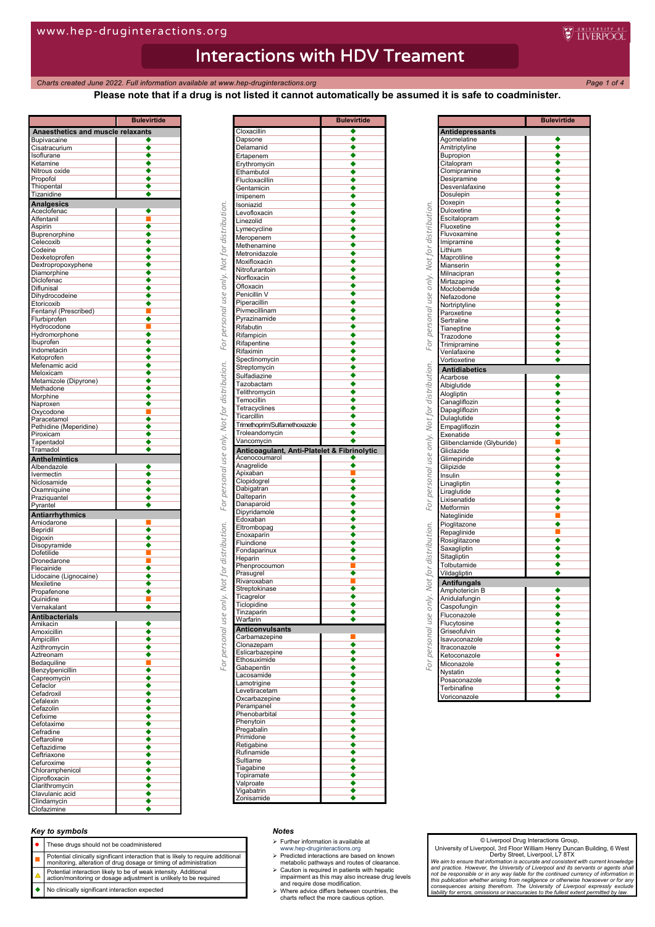*Charts created June* 2022. Full information available at www.hep-druginteractions.org Page 1 of 4<sup>2</sup>

**Please note that if a drug is not listed it cannot automatically be assumed it is safe to coadminister.**

**E** INFRPOOL

|                                       | Bulevirtide          |
|---------------------------------------|----------------------|
| Anaesthetics and muscle relaxants     |                      |
| <b>Bupivacaine</b><br>Cisatracurium   |                      |
| Isoflurane                            |                      |
| Ketamine                              |                      |
| Nitrous oxide                         |                      |
| Propofol<br>Thiopental                |                      |
| Tizanidine                            |                      |
| <b>Analgesics</b>                     |                      |
| Aceclofenac                           |                      |
| Alfentanil                            |                      |
| Aspirin                               |                      |
| Buprenorphine<br>Celecoxib            |                      |
| Codeine                               |                      |
| Dexketoprofen                         |                      |
| Dextropropoxyphene                    |                      |
| Diamorphine<br>Diclofenac             |                      |
| Diflunisal                            |                      |
| Dihydrocodeine                        |                      |
| Etoricoxib                            |                      |
| Fentanyl (Prescribed)<br>Flurbiprofen | π                    |
| Hydrocodone                           |                      |
| Hydromorphone                         |                      |
| Ibuprofen                             |                      |
| Indometacin<br>Ketoprofen             |                      |
| Mefenamic acid                        |                      |
| Meloxicam                             |                      |
| Metamizole (Dipyrone)                 |                      |
| Methadone                             |                      |
| Morphine<br>Naproxen                  |                      |
| Oxycodone                             |                      |
| Paracetamol                           |                      |
| Pethidine (Meperidine)                |                      |
| Piroxicam<br>Tapentadol               |                      |
| Tramadol                              |                      |
| <b>Anthelmintics</b>                  |                      |
| Albendazole                           |                      |
| Ivermectin                            |                      |
| Niclosamide<br>Oxamniquine            |                      |
| Praziquantel                          |                      |
| Pyrantel                              |                      |
| <b>Antiarrhythmics</b>                |                      |
| Amiodarone<br>Bepridil                |                      |
| Digoxin                               |                      |
| Disopyramide                          |                      |
| Dofetilide                            |                      |
| Dronedarone<br>Flecainide             |                      |
| Lidocaine (Lignocaine)                |                      |
| Mexiletine                            |                      |
| Propafenone                           |                      |
| Quinidine                             |                      |
| Vernakalant                           |                      |
| <b>Antibacterials</b><br>Amikacin     |                      |
| Amoxicillin                           |                      |
| Ampicillin                            |                      |
| Azithromycin                          |                      |
| Aztreonam<br>Bedaquiline              | П                    |
| Benzylpenicillin                      | ٠                    |
| Capreomycin                           |                      |
| Cefaclor                              |                      |
| Cefadroxil<br>Cefalexin               | ◆                    |
| Cefazolin                             |                      |
| Cefixime                              | ◆                    |
| Cefotaxime                            |                      |
| Cefradine<br>Ceftaroline              | ٠                    |
| Ceftazidime                           |                      |
| Ceftriaxone                           |                      |
| Cefuroxime                            |                      |
| Chloramphenicol                       |                      |
| Ciprofloxacin<br>Clarithromycin       | $\overline{\bullet}$ |
| Clavulanic acid                       |                      |
| Clindamycin                           |                      |
| Clofazimine                           |                      |

|                                             | <b>Bulevirtide</b> |
|---------------------------------------------|--------------------|
| Cloxacillin                                 | ٠                  |
| Dapsone                                     | ٠                  |
| Delamanid                                   | ٠                  |
| Ertapenem                                   |                    |
| Erythromycin                                |                    |
| Ethambutol                                  |                    |
| Flucloxacillin                              |                    |
| Gentamicin                                  |                    |
| Imipenem                                    |                    |
| Isoniazid                                   |                    |
| Levofloxacin                                |                    |
| Linezolid                                   |                    |
| Lymecycline                                 |                    |
| Meropenem                                   |                    |
| Methenamine                                 |                    |
| Metronidazole                               |                    |
| Moxifloxacin                                |                    |
| Nitrofurantoin                              |                    |
| Norfloxacin                                 |                    |
| Ofloxacin                                   |                    |
| Penicillin V                                |                    |
| Piperacillin                                |                    |
| Pivmecillinam                               |                    |
| Pyrazinamide                                |                    |
| Rifabutin                                   |                    |
| Rifampicin                                  |                    |
| Rifapentine                                 |                    |
| Rifaximin                                   |                    |
| Spectinomycin                               |                    |
| Streptomycin                                |                    |
| Sulfadiazine                                |                    |
| Tazobactam                                  |                    |
| Telithromycin                               |                    |
| Temocillin                                  |                    |
| Tetracyclines                               |                    |
| Ticarcillin                                 |                    |
| Trimethoprim/Sulfamethoxazole               |                    |
| Troleandomycin                              |                    |
| Vancomycin                                  |                    |
| Anticoagulant, Anti-Platelet & Fibrinolytic |                    |
|                                             |                    |
|                                             |                    |
| Acenocoumarol                               | ٠                  |
| Anagrelide                                  |                    |
| Apixaban                                    |                    |
| Clopidogrel                                 |                    |
| Dabigatran<br>Dalteparin                    |                    |
| Danaparoid                                  |                    |
| Dipyridamole                                |                    |
| Edoxaban                                    |                    |
| Eltrombopag                                 |                    |
| Enoxaparin                                  |                    |
| Fluindione                                  |                    |
| Fondaparinux                                |                    |
| Heparin                                     |                    |
| Phenprocoumon                               |                    |
| Prasugrel                                   |                    |
| Rivaroxaban                                 |                    |
| Streptokinase                               |                    |
| Ticagrelor                                  |                    |
| Ticlopidine                                 |                    |
| Tinzapann                                   |                    |
|                                             |                    |
| <b>Anticonvulsants</b>                      |                    |
| Warfarin<br>Carbamazepine                   |                    |
| Clonazepam                                  |                    |
| Eslicarbazepine                             |                    |
| Ethosuximide                                |                    |
| Gabapentin                                  |                    |
| Lacosamide                                  |                    |
| Lamotrigine                                 |                    |
| Levetiracetam                               |                    |
| Oxcarbazepine                               |                    |
| Perampanel                                  |                    |
| Phenobarbital                               |                    |
| Phenytoin                                   |                    |
| Pregabalin                                  |                    |
| Primidone                                   |                    |
| Retigabine                                  |                    |
| Rufinamide                                  |                    |
| Sultiame                                    |                    |
| Tiagabine                                   |                    |
| Topiramate                                  |                    |
| Valproate                                   |                    |
| Vigabatrin<br>Zonisamide                    |                    |

|                             | <b>Bulevirtide</b>        |
|-----------------------------|---------------------------|
| <b>Antidepressants</b>      |                           |
| Agomelatine                 |                           |
| Amitriptyline               |                           |
| Bupropion                   |                           |
| Citalopram                  |                           |
| Clomipramine                |                           |
| Desipramine                 |                           |
| Desvenlafaxine              |                           |
| Dosulepin                   |                           |
| Doxepin                     |                           |
| Duloxetine                  |                           |
| Escitalopram<br>Fluoxetine  |                           |
| Fluvoxamine                 |                           |
| Imipramine                  |                           |
| Lithium                     |                           |
| Maprotiline                 |                           |
| Mianserin                   |                           |
| Milnacipran                 |                           |
| Mirtazapine                 |                           |
| Moclobemide                 |                           |
| Nefazodone                  |                           |
| Nortriptyline               |                           |
| Paroxetine                  |                           |
| Sertraline                  |                           |
| Tianeptine                  |                           |
| Trazodone                   |                           |
| Trimipramine                |                           |
| Venlafaxine                 |                           |
| Vortioxetine                |                           |
| <b>Antidiabetics</b>        |                           |
| Acarbose                    | ٠                         |
| Albiglutide                 |                           |
| Alogliptin                  | ٠                         |
| Canagliflozin               |                           |
| Dapagliflozin               | $\frac{\bullet}{\bullet}$ |
| Dulaglutide                 |                           |
| Empagliflozin               |                           |
| Exenatide                   | $\overline{\bullet}$      |
| Glibenclamide (Glyburide)   | Ξ                         |
| Gliclazide                  | $\overline{\bullet}$      |
| Glimepiride                 | ٠                         |
| Glipizide                   | $\overline{\bullet}$      |
| Insulin                     |                           |
| Linagliptin                 |                           |
| Liraglutide                 |                           |
| Lixisenatide                |                           |
| Metformin                   |                           |
| Nateglinide                 |                           |
| Pioglitazone                |                           |
| Repaglinide                 | $\frac{\bullet}{\bullet}$ |
| Rosiglitazone               |                           |
| Saxagliptin                 | ╺╺                        |
| Sitagliptin                 |                           |
| Tolbutamide                 |                           |
| Vildagliptin                |                           |
| <b>Antifungals</b>          |                           |
|                             |                           |
| Amphotericin B              |                           |
| Anidulafungin               |                           |
| Caspofungin                 |                           |
| Fluconazole<br>Flucytosine  |                           |
|                             |                           |
| Griseofulvin                |                           |
| Isavuconazole               |                           |
| Itraconazole                |                           |
| Ketoconazole                |                           |
|                             |                           |
| Miconazole                  |                           |
| Nystatin                    |                           |
| Posaconazole                |                           |
| Terbinafine<br>Voriconazole | $\overline{\bullet}$      |

### *Key to symbols*

- These drugs should not be coadministered
- **Potential clinically significant interaction that is likely to require additional**<br>monitoring, alteration of drug dosage or timing of administration
- Potential interaction likely to be of weak intensity. Additional
- action/monitoring or dosage adjustment is unlikely to be required
- No clinically significant interaction expected

#### *Notes*

- $\triangleright$  Further information is available at
- 
- www.hep-druginteractions.org Predicted interactions are based on known metabolic pathways and routes of clearance.
- Caution is required in patients with hepatic impairment as this may also increase drug levels and require dose modification. Where advice differs between countries, the charts reflect the more cautious option.
- 

#### © Liverpool Drug Interactions Group,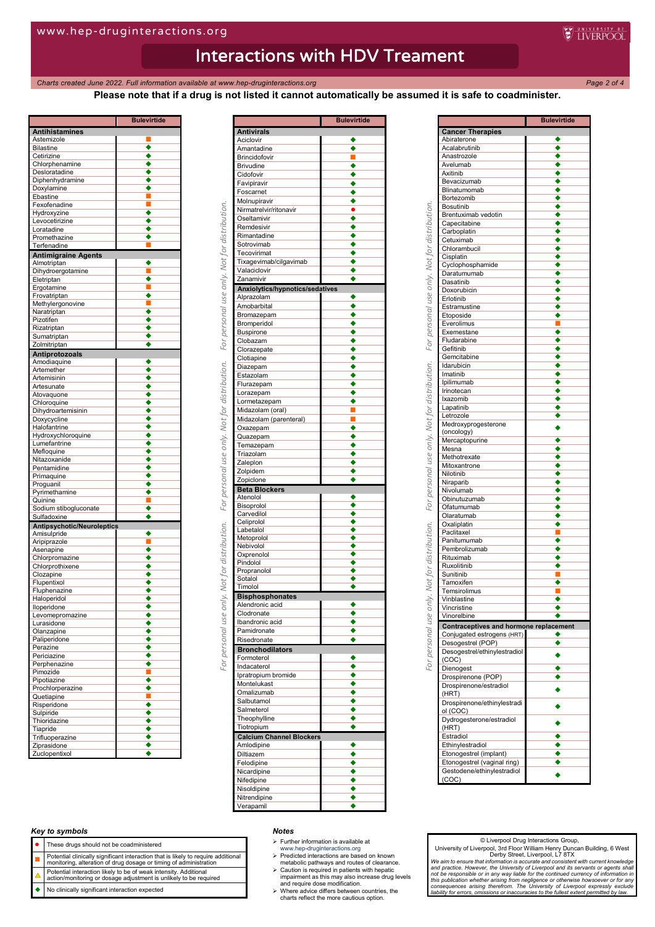*Charts created June 2022. Full information available at www.hep-druginteractions.org Page 2 of 4*

**WEINERPOOL** 

**Please note that if a drug is not listed it cannot automatically be assumed it is safe to coadminister.**

|                                           | <b>Bulevirtide</b>             |
|-------------------------------------------|--------------------------------|
| <b>Antihistamines</b>                     |                                |
| Astemizole                                |                                |
| <b>Bilastine</b>                          | ٠                              |
| Cetirizine<br>Chlorphenamine              | ٠                              |
| Desloratadine                             |                                |
| Diphenhydramine                           |                                |
| Doxylamine                                | ٠                              |
| Ebastine                                  |                                |
| Fexofenadine                              |                                |
| Hydroxyzine                               |                                |
| Levocetirizine                            |                                |
| Loratadine                                |                                |
| Promethazine                              |                                |
| Terfenadine                               |                                |
| <b>Antimigraine Agents</b><br>Almotriptan |                                |
| Dihydroergotamine                         | ш                              |
| Eletriptan                                |                                |
| Ergotamine                                |                                |
| Frovatriptan                              | ٠                              |
| Methylergonovine                          |                                |
| Naratriptan                               | ò                              |
| Pizotifen                                 |                                |
| Rizatriptan                               |                                |
| Sumatriptan                               |                                |
| Zolmitriptan                              |                                |
| Antiprotozoals                            |                                |
| Amodiaquine                               |                                |
| Artemether                                | ٠                              |
| Artemisinin<br>Artesunate                 | ٠                              |
| Atovaguone                                |                                |
| Chloroquine                               |                                |
| Dihydroartemisinin                        |                                |
| Doxycycline                               |                                |
| Halofantrine                              |                                |
| Hydroxychloroquine                        |                                |
| Lumefantrine                              |                                |
| Mefloquine                                |                                |
| Nitazoxanide                              |                                |
| Pentamidine                               |                                |
| Primaquine                                |                                |
| Proguanil<br>Pyrimethamine                | ٠                              |
| Quinine                                   |                                |
| Sodium stibogluconate                     |                                |
| Sulfadoxine                               |                                |
| Antipsychotic/Neuroleptics                |                                |
| Amisulpride                               |                                |
| Aripiprazole                              | Ц                              |
| Asenapine                                 |                                |
| Chlorpromazine                            |                                |
| Chlorprothixene                           |                                |
| Clozapine                                 |                                |
| Flupentixol                               |                                |
| Fluphenazine<br>Haloperidol               |                                |
| lloperidone                               |                                |
| Levomepromazine                           |                                |
| Lurasidone                                | ٠                              |
| Olanzapine                                |                                |
| Paliperidone                              |                                |
| Perazine                                  |                                |
| Periciazine                               | ٠                              |
| Perphenazine                              | ٠                              |
| Pimozide                                  | Ξ                              |
| Pipotiazine                               | ٠                              |
| Prochlorperazine                          | $\frac{\bullet}{\blacksquare}$ |
| Quetiapine<br>Risperidone                 | $\overline{\bullet}$           |
| Sulpiride                                 |                                |
| Thioridazine                              | $\frac{\bullet}{\bullet}$      |
| Tiapride                                  | $\overline{\bullet}$           |
| Trifluoperazine                           | $\overline{\bullet}$           |
| Ziprasidone                               |                                |
| Zuclopentixol                             |                                |

|                                        | <b>Bulevirtide</b> |
|----------------------------------------|--------------------|
| <b>Antivirals</b>                      |                    |
| Aciclovir                              |                    |
| Amantadine                             | ٠                  |
| Brincidofovir                          | п                  |
| Brivudine<br>Cidofovir                 |                    |
| Favipiravir                            |                    |
|                                        |                    |
| Foscarnet                              |                    |
| Molnupiravir<br>Nirmatrelvir/ritonavir | $\bullet$          |
| Oseltamivir                            | ٠                  |
| Remdesivir                             |                    |
| Rimantadine                            |                    |
| Sotrovimab                             |                    |
| Tecovirimat                            |                    |
| Tixagevimab/cilgavimab                 |                    |
| Valaciclovir                           | ٠                  |
| Zanamivir                              |                    |
| Anxiolytics/hypnotics/sedatives        |                    |
| Alprazolam                             | ٠                  |
| Amobarbital                            |                    |
| Bromazepam                             |                    |
| Bromperidol                            |                    |
| <b>Buspirone</b>                       |                    |
| Clobazam                               |                    |
| Clorazepate                            |                    |
| Clotiapine                             |                    |
| Diazepam                               | ٠                  |
| Estazolam                              |                    |
| Flurazepam                             |                    |
| Lorazepam                              |                    |
| Lormetazepam                           |                    |
| Midazolam (oral)                       |                    |
| Midazolam (parenteral)                 |                    |
| Oxazepam                               |                    |
| Quazepam                               | ٠                  |
| Temazepam                              |                    |
| Triazolam                              |                    |
| Zaleplon                               |                    |
| Zolpidem                               |                    |
| Zopiclone<br><b>Beta Blockers</b>      |                    |
| Atenolol                               |                    |
| Bisoprolol                             |                    |
| Carvedilol                             |                    |
| Celiprolol                             |                    |
| Labetalol                              |                    |
| Metoprolol                             |                    |
| Nebivolol                              |                    |
| Oxprenolol                             |                    |
| Pindolol                               |                    |
| Propranolol                            |                    |
| Sotalol<br>Timolol                     |                    |
|                                        |                    |
| <b>Bisphosphonates</b>                 |                    |
| Alendronic acid<br>Clodronate          |                    |
| Ibandronic acid                        |                    |
| Pamidronate                            |                    |
| Risedronate                            |                    |
| <b>Bronchodilators</b>                 |                    |
| Formoterol                             | ٠                  |
| Indacaterol                            | ٠                  |
| Ipratropium bromide                    | ٠                  |
| Montelukast                            | ٠                  |
| Omalizumab                             |                    |
| Salbutamol                             |                    |
| Salmeterol                             | ٠                  |
| Theophylline                           |                    |
| Tiotropium                             | ٠                  |
| <b>Calcium Channel Blockers</b>        |                    |
| Amlodipine                             |                    |
| Diltiazem                              |                    |
| Felodipine                             |                    |
| Nicardipine                            |                    |
| Nifedipine                             | ٠                  |
| Nisoldipine                            |                    |
| Nitrendipine                           |                    |
| Verapamil                              |                    |
|                                        |                    |

|                                                                                                                                                |                                                       | <b>Bulevirtide</b>        |
|------------------------------------------------------------------------------------------------------------------------------------------------|-------------------------------------------------------|---------------------------|
|                                                                                                                                                | <b>Cancer Therapies</b>                               |                           |
|                                                                                                                                                | Abiraterone<br>Acalabrutinib                          | ٠                         |
|                                                                                                                                                | Anastrozole                                           | ٠                         |
|                                                                                                                                                | Avelumab                                              |                           |
|                                                                                                                                                | Axitinib                                              |                           |
|                                                                                                                                                | Bevacizumab<br>Blinatumomab                           |                           |
|                                                                                                                                                | Bortezomib                                            |                           |
|                                                                                                                                                | Bosutinib                                             |                           |
|                                                                                                                                                | Brentuximab vedotin                                   |                           |
|                                                                                                                                                | Capecitabine<br>Carboplatin                           |                           |
|                                                                                                                                                | Cetuximab                                             |                           |
|                                                                                                                                                | Chlorambucil                                          | $\overline{\bullet}$      |
|                                                                                                                                                | Cisplatin                                             |                           |
|                                                                                                                                                | Cyclophosphamide<br>Daratumumab                       |                           |
|                                                                                                                                                | Dasatinib                                             |                           |
|                                                                                                                                                | Doxorubicin                                           |                           |
|                                                                                                                                                | Erlotinib                                             |                           |
|                                                                                                                                                | Estramustine                                          |                           |
|                                                                                                                                                | Etoposide<br>Everolimus                               |                           |
| For personal use only. Not for distribution.     For personal use only. Not for distribution.     For personal use only. Not for distribution. | Exemestane                                            |                           |
|                                                                                                                                                | Fludarabine                                           | ٠                         |
|                                                                                                                                                | Gefitinib                                             |                           |
|                                                                                                                                                | Gemcitabine<br>Idarubicin                             |                           |
|                                                                                                                                                | Imatinib                                              |                           |
|                                                                                                                                                | Ipilimumab                                            |                           |
|                                                                                                                                                | Irinotecan                                            |                           |
|                                                                                                                                                | Ixazomib<br>Lapatinib                                 | $\overline{\bullet}$<br>◆ |
|                                                                                                                                                | Letrozole                                             |                           |
|                                                                                                                                                | Medroxyprogesterone                                   |                           |
|                                                                                                                                                | (oncology)                                            |                           |
|                                                                                                                                                | Mercaptopurine<br>Mesna                               | $\overline{\bullet}$      |
|                                                                                                                                                | Methotrexate                                          |                           |
|                                                                                                                                                | Mitoxantrone                                          |                           |
|                                                                                                                                                | Nilotinib                                             |                           |
|                                                                                                                                                | Niraparib<br>Nivolumab                                |                           |
|                                                                                                                                                | Obinutuzumab                                          | ٠                         |
|                                                                                                                                                | Ofatumumab                                            |                           |
|                                                                                                                                                | Olaratumab                                            | $\overline{\bullet}$      |
|                                                                                                                                                | Oxaliplatin<br>Paclitaxel                             | Ţ                         |
|                                                                                                                                                | Panitumumab                                           |                           |
|                                                                                                                                                | Pembrolizumab                                         |                           |
|                                                                                                                                                | Rituximab                                             | $\frac{\bullet}{\bullet}$ |
|                                                                                                                                                | Ruxolitinib<br>Sunitinib                              |                           |
|                                                                                                                                                | Tamoxifen                                             |                           |
|                                                                                                                                                | Temsirolimus                                          |                           |
|                                                                                                                                                | Vinblastine                                           | ٠                         |
|                                                                                                                                                | Vincristine<br>Vinorelbine                            |                           |
|                                                                                                                                                | Contraceptives and hormone replacement                |                           |
|                                                                                                                                                | Conjugated estrogens (HRT)                            |                           |
|                                                                                                                                                | Desogestrel (POP)                                     |                           |
|                                                                                                                                                | Desogestrel/ethinylestradiol                          |                           |
|                                                                                                                                                | (COC)<br>Dienogest                                    |                           |
|                                                                                                                                                | Drospirenone (POP)                                    |                           |
|                                                                                                                                                | Drospirenone/estradiol                                |                           |
|                                                                                                                                                | (HRT)                                                 |                           |
|                                                                                                                                                | Drospirenone/ethinylestradi                           |                           |
|                                                                                                                                                | ol (COC)<br>Dydrogesterone/estradiol                  |                           |
|                                                                                                                                                | (HRT)                                                 |                           |
|                                                                                                                                                | Estradiol                                             |                           |
|                                                                                                                                                | Ethinylestradiol                                      |                           |
|                                                                                                                                                | Etonogestrel (implant)<br>Etonogestrel (vaginal ring) |                           |
|                                                                                                                                                | Gestodene/ethinylestradiol                            |                           |
|                                                                                                                                                | (COC)                                                 |                           |
|                                                                                                                                                |                                                       |                           |

### *Key to symbols*

- These drugs should not be coadministered
- 
- **Potential clinically significant interaction that is likely to require additional**<br>monitoring, alteration of drug dosage or timing of administration
- Potential interaction likely to be of weak intensity. Additional action/monitoring or dosage adjustment is unlikely to be required
- No clinically significant interaction expected

#### *Notes*

- $\triangleright$  Further information is available at
- 
- www.hep-druginteractions.org Predicted interactions are based on known metabolic pathways and routes of clearance.
- Caution is required in patients with hepatic impairment as this may also increase drug levels and require dose modification. Where advice differs between countries, the charts reflect the more cautious option.
- 

#### © Liverpool Drug Interactions Group,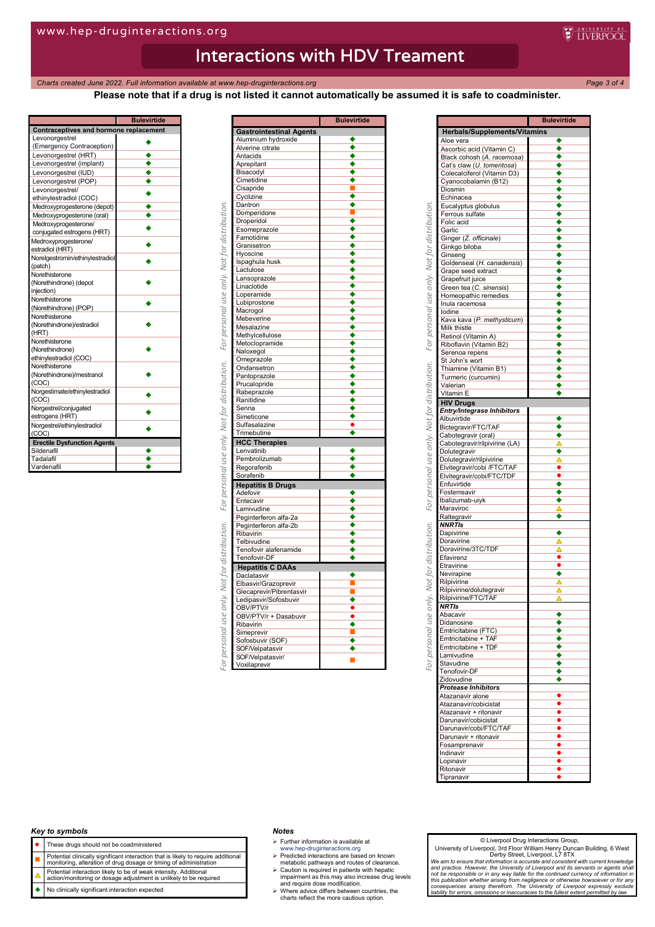**Bulevirtide** 

## Interactions with HDV Treament

**Charts created June 2022. Full information available at www.hep-druginteractions.org Page 3 of 4** 

**Please note that if a drug is not listed it cannot automatically be assumed it is safe to coadminister.**

**W** INERPOOL

| Contraceptives and hormone replacement |  |  |
|----------------------------------------|--|--|
| Levonorgestrel                         |  |  |
| (Emergency Contraception)              |  |  |
| Levonorgestrel (HRT)                   |  |  |
| Levonorgestrel (implant)               |  |  |
| Levonorgestrel (IUD)                   |  |  |
| Levonorgestrel (POP)                   |  |  |
| Levonorgestrel/                        |  |  |
| ethinylestradiol (COC)                 |  |  |
| Medroxyprogesterone (depot)            |  |  |
| Medroxyprogesterone (oral)             |  |  |
| Medroxyprogesterone/                   |  |  |
| conjugated estrogens (HRT)             |  |  |
| Medroxyprogesterone/                   |  |  |
| estradiol (HRT)                        |  |  |
| Norelgestromin/ethinylestradiol        |  |  |
| (patch)                                |  |  |
| Norethisterone                         |  |  |
| (Norethindrone) (depot                 |  |  |
| injection)                             |  |  |
| Norethisterone                         |  |  |
| (Norethindrone) (POP)                  |  |  |
| Norethisterone                         |  |  |
| (Norethindrone)/estradiol              |  |  |
| (HRT)                                  |  |  |
| Norethisterone                         |  |  |
| (Norethindrone)                        |  |  |
| ethinylestradiol (COC)                 |  |  |
| Norethisterone                         |  |  |
| (Norethindrone)/mestranol              |  |  |
| (COC)                                  |  |  |
| Norgestimate/ethinylestradiol          |  |  |
| (COC)                                  |  |  |
| Norgestrel/conjugated                  |  |  |
| estrogens (HRT)                        |  |  |
| Norgestrel/ethinylestradiol            |  |  |
| (COC)                                  |  |  |
| <b>Erectile Dysfunction Agents</b>     |  |  |
| Sildenafil                             |  |  |
| Tadalafil                              |  |  |
| Vardenafil                             |  |  |

|                                | <b>Bulevirtide</b>        |
|--------------------------------|---------------------------|
| <b>Gastrointestinal Agents</b> |                           |
| Aluminium hydroxide            | ◆                         |
| Alverine citrate               | ٠                         |
| Antacids                       | ٠                         |
| Aprepitant                     |                           |
| Bisacodyl                      |                           |
| Cimetidine                     |                           |
| Cisapride                      |                           |
| Cyclizine                      |                           |
| Dantron                        |                           |
| Domperidone                    |                           |
| Droperidol                     | ٠                         |
| Esomeprazole                   |                           |
| Famotidine                     |                           |
| Granisetron                    |                           |
| Hyoscine<br>Ispaghula husk     |                           |
| Lactulose                      |                           |
| Lansoprazole                   |                           |
| Linaclotide                    | ٠                         |
| Loperamide                     | ٠                         |
| Lubiprostone                   |                           |
| Macrogol                       |                           |
| Mebeverine                     | ٠                         |
| Mesalazine                     |                           |
| Methylcellulose                | ٠                         |
| Metoclopramide                 |                           |
| Naloxegol                      |                           |
| Omeprazole                     |                           |
| Ondansetron                    |                           |
| Pantoprazole                   |                           |
| Prucalopride                   |                           |
| Rabeprazole                    |                           |
| Ranitidine                     |                           |
| Senna<br>Simeticone            |                           |
| Sulfasalazine                  |                           |
| Trimebutine                    |                           |
| <b>HCC Therapies</b>           |                           |
| Lenvatinib                     |                           |
| Pembrolizumab                  |                           |
| Regorafenib                    | ٠                         |
| Sorafenib                      | ٠                         |
| <b>Hepatitis B Drugs</b>       |                           |
| Adefovir                       | ٠                         |
| Entecavir                      |                           |
| Lamivudine                     | $\overline{\bullet}$      |
| Peginterferon alfa-2a          | ٠                         |
| Peginterferon alfa-2b          |                           |
| Ribavirin                      |                           |
| Telbivudine                    | ٠                         |
| Tenofovir alafenamide          | ٠                         |
| Tenofovir-DF                   | ٠                         |
| <b>Hepatitis C DAAs</b>        |                           |
| Daclatasvir                    |                           |
| Elbasvir/Grazoprevir           |                           |
| Glecaprevir/Pibrentasvir       |                           |
| Ledipasvir/Sofosbuvir          |                           |
| OBV/PTV/r                      |                           |
| OBV/PTV/r + Dasabuvir          | $\frac{\bullet}{\bullet}$ |
| Ribavirin                      |                           |
| Simeprevir                     |                           |
| Sofosbuvir (SOF)               |                           |
| SOF/Velpatasvir                | ٠                         |
| SOF/Velpatasvir/               | п                         |
| Voxilaprevir                   |                           |

|                                                         | <b>Bulevirtide</b>   |
|---------------------------------------------------------|----------------------|
| <b>Herbals/Supplements/Vitamins</b>                     |                      |
| Aloe vera                                               | ٠                    |
| Ascorbic acid (Vitamin C)                               |                      |
| Black cohosh (A. racemosa)<br>Cat's claw (U. tomentosa) |                      |
| Colecalciferol (Vitamin D3)                             |                      |
| Cyanocobalamin (B12)                                    |                      |
| Diosmin                                                 |                      |
| Echinacea                                               |                      |
| Eucalyptus globulus                                     |                      |
| Ferrous sulfate<br>Folic acid                           |                      |
| Garlic                                                  |                      |
| Ginger (Z. officinale)                                  |                      |
| Ginkgo biloba                                           | $\overline{\bullet}$ |
| Ginseng                                                 |                      |
| Goldenseal (H. canadensis)                              |                      |
| Grape seed extract                                      |                      |
| Grapefruit juice                                        | ٠<br>٠               |
| Green tea (C. sinensis)<br>Homeopathic remedies         |                      |
| Inula racemosa                                          | ٠                    |
| lodine                                                  |                      |
| Kava kava (P. methysticum)                              |                      |
| Milk thistle                                            |                      |
| Retinol (Vitamin A)                                     |                      |
| Riboflavin (Vitamin B2)<br>Serenoa repens               |                      |
| St John's wort                                          |                      |
| Thiamine (Vitamin B1)                                   |                      |
| Turmeric (curcumin)                                     |                      |
| Valerian                                                | ٠                    |
| Vitamin E                                               | ٠                    |
| <b>HIV Drugs</b>                                        |                      |
| Entry/Integrase Inhibitors                              |                      |
| Albuvirtide                                             |                      |
| Bictegravir/FTC/TAF<br>Cabotegravir (oral)              |                      |
| Cabotegravir/rilpivirine (LA)                           | Δ                    |
| Dolutegravir                                            | ٠                    |
| Dolutegravir/rilpivirine                                |                      |
| Elvitegravir/cobi /FTC/TAF                              |                      |
| Elvitegravir/cobi/FTC/TDF                               | ٠                    |
| Enfuvirtide<br>Fostemsavir                              | ٠                    |
| Ibalizumab-uiyk                                         |                      |
| Maraviroc                                               | Δ                    |
| Raltegravir                                             | ٠                    |
| <b>NNRTIS</b>                                           |                      |
| Dapivirine                                              |                      |
| Doravirine                                              |                      |
| Doravirine/3TC/TDF<br>Efavirenz                         |                      |
| Etravirine                                              |                      |
| Nevirapine                                              | ٠                    |
| Rilpivirine                                             | Δ                    |
| Rilpivirine/dolutegravir                                | Δ                    |
| Rilpivirine/FTC/TAF                                     |                      |
| NRIIS                                                   |                      |
| Abacavir<br>Didanosine                                  | $\overline{\bullet}$ |
| Emtricitabine (FTC)                                     |                      |
| Emtricitabine + TAF                                     |                      |
| Emtricitabine + TDF                                     |                      |
| Lamivudine                                              |                      |
| Stavudine                                               |                      |
| Tenofovir-DF                                            |                      |
| Zidovudine<br><b>Protease Inhibitors</b>                |                      |
| Atazanavir alone                                        |                      |
| Atazanavir/cobicistat                                   |                      |
| Atazanavir + ritonavir                                  |                      |
| Darunavir/cobicistat                                    |                      |
| Darunavir/cobi/FTC/TAF                                  |                      |
| Darunavir + ritonavir                                   |                      |
| Fosamprenavir                                           |                      |
| Indinavir<br>Lopinavir                                  |                      |
| Ritonavir                                               |                      |
| Tipranavir                                              |                      |
|                                                         |                      |

### *Key to symbols*

- These drugs should not be coadministered
- **Potential clinically significant interaction that is likely to require additional**<br>monitoring, alteration of drug dosage or timing of administration
- 
- Potential interaction likely to be of weak intensity. Additional action/monitoring or dosage adjustment is unlikely to be required
- No clinically significant interaction expected

#### *Notes*

- $\triangleright$  Further information is available at
- 
- www.hep-druginteractions.org Predicted interactions are based on known metabolic pathways and routes of clearance.
- Caution is required in patients with hepatic impairment as this may also increase drug levels and require dose modification. Where advice differs between countries, the charts reflect the more cautious option.

#### © Liverpool Drug Interactions Group,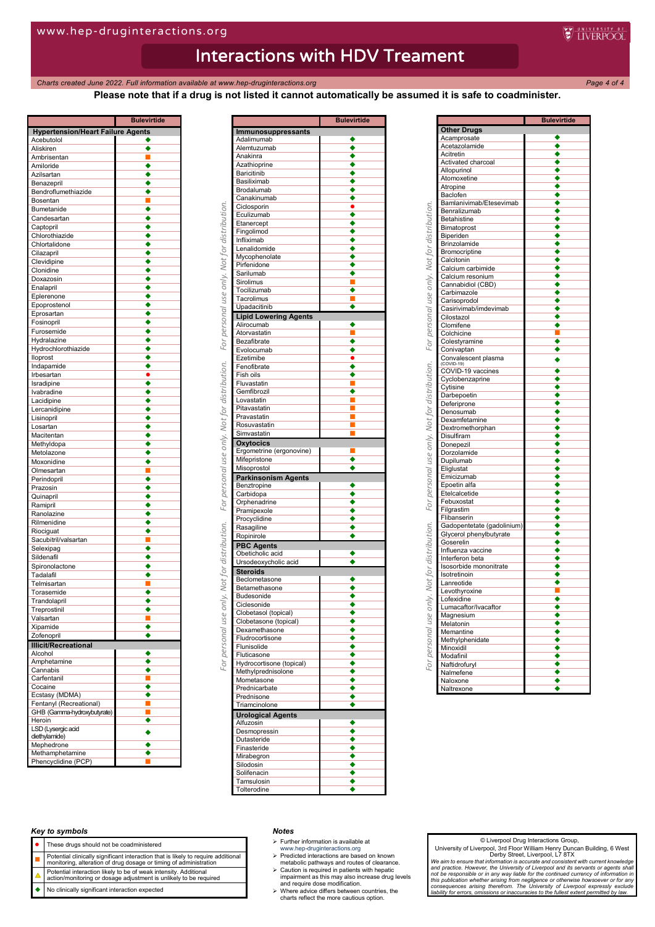**Charts created June 2022. Full information available at www.hep-druginteractions.org Page 4** of 4 **Page 4** of 4

**Please note that if a drug is not listed it cannot automatically be assumed it is safe to coadminister.**

**WEINERPOOL** 

|                                          | <b>Bulevirtide</b> |
|------------------------------------------|--------------------|
| <b>Hypertension/Heart Failure Agents</b> |                    |
| Acebutolol<br>Aliskiren                  | ٠<br>٠             |
| Ambrisentan                              | п                  |
| Amiloride                                | ٠                  |
| Azilsartan                               |                    |
| Benazepril                               |                    |
| Bendroflumethiazide<br>Bosentan          |                    |
| Bumetanide                               |                    |
| Candesartan                              |                    |
| Captopril                                |                    |
| Chlorothiazide                           | ٠                  |
| Chlortalidone                            | ٠                  |
| Cilazapril                               | ٠                  |
| Clevidipine<br>Clonidine                 | ٠                  |
| Doxazosin                                |                    |
| Enalapril                                |                    |
| Eplerenone                               | ٠                  |
| Epoprostenol                             |                    |
| Eprosartan                               |                    |
| Fosinopril<br>Furosemide                 | ٠                  |
| Hydralazine                              |                    |
| Hydrochlorothiazide                      | ٠                  |
| lloprost                                 |                    |
| Indapamide                               |                    |
| Irbesartan                               |                    |
| Isradipine                               |                    |
| Ivabradine<br>Lacidipine                 |                    |
| Lercanidipine                            | ٠                  |
| Lisinopril                               |                    |
| Losartan                                 | ٠                  |
| Macitentan                               | ٠                  |
| Methyldopa                               |                    |
| Metolazone                               | ٠                  |
| Moxonidine<br>Olmesartan                 | ٠<br>г             |
| Perindopril                              |                    |
| Prazosin                                 |                    |
| Quinapril                                |                    |
| Ramipril                                 |                    |
| Ranolazine                               |                    |
| Rilmenidine                              | ٠<br>٠             |
| Riociguat<br>Sacubitril/valsartan        | г                  |
| Selexipag                                | ٠                  |
| Sildenafil                               |                    |
| Spironolactone                           |                    |
| Tadalafil                                |                    |
| Telmisartan                              |                    |
| Torasemide<br>Trandolapril               |                    |
| Treprostinil                             |                    |
| Valsartan                                | E                  |
| Xipamide                                 | ٠                  |
| Zofenopril                               | ٠                  |
| <b>Illicit/Recreational</b>              |                    |
| Alcohol                                  |                    |
| Amphetamine<br>Cannabis                  | ٠                  |
| Carfentanil                              | Ξ                  |
| Cocaine                                  | ٠                  |
| Ecstasy (MDMA)                           | ٠                  |
| Fentanyl (Recreational)                  | П<br>i             |
| GHB (Gamma-hydroxybutyrate)<br>Heroin    |                    |
| LSD (Lysergic acid                       | ٠                  |
| diethylamide)                            |                    |
| Mephedrone                               | ٠                  |
| Methamphetamine                          | ٠                  |
| Phencyclidine (PCP)                      |                    |

|                                                              | <b>Bulevirtide</b> |
|--------------------------------------------------------------|--------------------|
| Immunosuppressants                                           |                    |
| Adalimumab                                                   |                    |
| Alemtuzumab                                                  | ٠                  |
| Anakinra                                                     |                    |
| Azathioprine                                                 |                    |
| Baricitinib                                                  |                    |
| Basiliximab                                                  |                    |
| Brodalumab                                                   |                    |
| Canakinumab                                                  |                    |
| Ciclosporin                                                  |                    |
| Eculizumab                                                   |                    |
| Etanercept                                                   |                    |
| Fingolimod                                                   |                    |
| Infliximab                                                   | ٠                  |
| Lenalidomide                                                 |                    |
| Mycophenolate                                                |                    |
| Pirfenidone                                                  |                    |
| Sarilumab                                                    |                    |
| Sirolimus                                                    |                    |
| Tocilizumab                                                  |                    |
| Tacrolimus                                                   | П                  |
| Upadacitinib                                                 | ٠                  |
| <b>Lipid Lowering Agents</b>                                 |                    |
| Alirocumab                                                   |                    |
| Atorvastatin                                                 | I.                 |
| Bezafibrate                                                  |                    |
| Evolocumab                                                   |                    |
| Ezetimibe                                                    |                    |
| Fenofibrate                                                  | ٠                  |
| <b>Fish oils</b>                                             |                    |
| Fluvastatin                                                  |                    |
| Gemfibrozil                                                  | ٠                  |
| Lovastatin                                                   |                    |
| Pitavastatin                                                 |                    |
| Pravastatin                                                  |                    |
| Rosuvastatin                                                 |                    |
| Simvastatin                                                  |                    |
|                                                              |                    |
| <b>Oxytocics</b><br>Ergometrine (ergonovine)                 |                    |
|                                                              | ∙                  |
| Mifepristone                                                 | ٠                  |
| Misoprostol                                                  |                    |
| <b>Parkinsonism Agents</b>                                   |                    |
| Benztropine                                                  |                    |
| Carbidopa                                                    |                    |
| Orphenadrine                                                 |                    |
| Pramipexole                                                  | ٠                  |
| Procyclidine                                                 |                    |
| Rasagiline                                                   |                    |
| Ropinirole                                                   |                    |
|                                                              |                    |
| <b>PBC Agents</b>                                            |                    |
| Obeticholic acid                                             |                    |
| Ursodeoxycholic acid                                         |                    |
|                                                              |                    |
| <b>Steroids</b><br>Beclometasone                             |                    |
| Betamethasone                                                |                    |
| Budesonide                                                   | ∙                  |
| Ciclesonide                                                  |                    |
|                                                              |                    |
| Clobetasol (topical)                                         |                    |
| Clobetasone (topical)                                        |                    |
| Dexamethasone                                                |                    |
| Fludrocortisone                                              |                    |
| Flunisolide                                                  |                    |
| Fluticasone                                                  |                    |
|                                                              |                    |
|                                                              |                    |
| Hydrocortisone (topical)<br>Methylprednisolone<br>Mometasone |                    |
| Prednicarbate                                                |                    |
|                                                              |                    |
| Prednisone<br>Triamcinolone                                  |                    |
| <b>Urological Agents</b>                                     |                    |
| Alfuzosin                                                    |                    |
| Desmopressin                                                 |                    |
| Dutasteride                                                  |                    |
| Finasteride                                                  |                    |
| Mirabegron                                                   |                    |
| Silodosin                                                    |                    |
| Solifenacin                                                  |                    |
| Tamsulosin                                                   | ٠                  |

|                                           | <b>Bulevirtide</b>        |
|-------------------------------------------|---------------------------|
| <b>Other Drugs</b>                        |                           |
| Acamprosate                               |                           |
| Acetazolamide                             |                           |
| Acitretin                                 |                           |
| Activated charcoal                        |                           |
| Allopurinol                               |                           |
| Atomoxetine                               | ٠                         |
| Atropine                                  | ٠                         |
| Baclofen                                  |                           |
| Bamlanivimab/Etesevimab                   |                           |
| Benralizumab                              | ٠                         |
| Betahistine                               | ٠                         |
| Bimatoprost                               |                           |
| Biperiden                                 |                           |
| Brinzolamide                              | ٠                         |
| Bromocriptine                             | ٠                         |
| Calcitonin                                |                           |
| Calcium carbimide                         |                           |
| Calcium resonium                          |                           |
| Cannabidiol (CBD)                         |                           |
| Carbimazole                               |                           |
| Carisoprodol                              | $\overline{\bullet}$      |
| Casirivimab/imdevimab                     | ٠                         |
| Cilostazol                                |                           |
| Clomifene                                 |                           |
| Colchicine                                |                           |
| Colestyramine                             |                           |
| Conivaptan                                |                           |
| Convalescent plasma<br>$(COVID-19)$       |                           |
| COVID-19 vaccines                         | ٠                         |
| Cyclobenzaprine                           |                           |
| Cytisine                                  | ٠                         |
| Darbepoetin                               |                           |
| Deferiprone                               | ó                         |
| Denosumab                                 |                           |
| Dexamfetamine                             |                           |
| Dextromethorphan                          | ٠                         |
| Disulfiram                                | ٠                         |
| Donepezil                                 |                           |
| Dorzolamide                               |                           |
| Dupilumab                                 |                           |
| Eliglustat                                | ٠                         |
| Emicizumab                                |                           |
| Epoetin alfa                              |                           |
| Etelcalcetide                             | ٠<br>٠                    |
| Febuxostat                                |                           |
| Filgrastim                                | ٠                         |
| Flibanserin<br>Gadopentetate (gadolinium) |                           |
| Glycerol phenylbutyrate                   | ٠                         |
| Goserelin                                 | ٠                         |
| Influenza vaccine                         |                           |
| Interferon beta                           |                           |
| Isosorbide mononitrate                    | ٠                         |
| Isotretinoin                              | $\overline{\bullet}$      |
| Lanreotide                                |                           |
| Levothyroxine                             |                           |
| Lofexidine                                |                           |
| Lumacaftor/Ivacaftor                      |                           |
| Magnesium                                 |                           |
| Melatonin                                 |                           |
| Memantine                                 | $\overline{\bullet}$      |
| Methylphenidate                           | $\overline{\bullet}$      |
| Minoxidil                                 | ٠                         |
| Modafinil                                 |                           |
| Naftidrofuryl                             | $\frac{\bullet}{\bullet}$ |
| Nalmefene                                 | ♦                         |
|                                           | ٠                         |
| Naloxone                                  |                           |

### *Key to symbols*

- These drugs should not be coadministered
- 
- **Potential clinically significant interaction that is likely to require additional**<br>monitoring, alteration of drug dosage or timing of administration
- Potential interaction likely to be of weak intensity. Additional action/monitoring or dosage adjustment is unlikely to be required
- No clinically significant interaction expected

#### *Notes*

- $\triangleright$  Further information is available at
- 
- www.hep-druginteractions.org Predicted interactions are based on known metabolic pathways and routes of clearance.
- Caution is required in patients with hepatic impairment as this may also increase drug levels and require dose modification. Where advice differs between countries, the charts reflect the more cautious option.
- 

#### © Liverpool Drug Interactions Group,